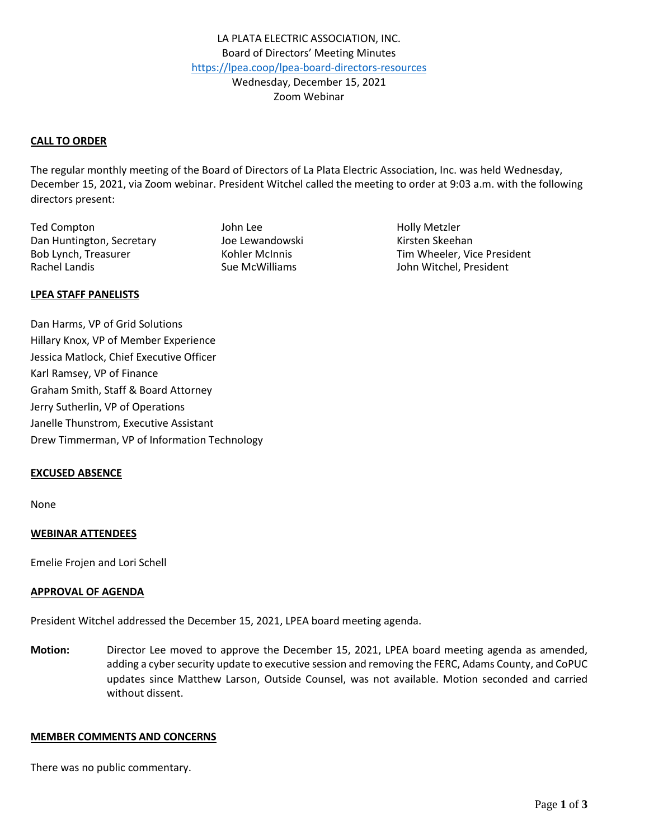# **CALL TO ORDER**

The regular monthly meeting of the Board of Directors of La Plata Electric Association, Inc. was held Wednesday, December 15, 2021, via Zoom webinar. President Witchel called the meeting to order at 9:03 a.m. with the following directors present:

Ted Compton The Compton Compton Compton Compton Compton Compton John Lee The Compton Compton Compton Compton Compton Compton Compton Compton Compton Compton Compton Compton Compton Compton Compton Compton Compton Compton C Dan Huntington, Secretary The Lewandowski Kirsten Skeehan Rachel Landis **Sue McWilliams** Sue McWilliams John Witchel, President

Bob Lynch, Treasurer Tim Wheeler, Vice President

#### **LPEA STAFF PANELISTS**

Dan Harms, VP of Grid Solutions Hillary Knox, VP of Member Experience Jessica Matlock, Chief Executive Officer Karl Ramsey, VP of Finance Graham Smith, Staff & Board Attorney Jerry Sutherlin, VP of Operations Janelle Thunstrom, Executive Assistant Drew Timmerman, VP of Information Technology

#### **EXCUSED ABSENCE**

None

# **WEBINAR ATTENDEES**

Emelie Frojen and Lori Schell

#### **APPROVAL OF AGENDA**

President Witchel addressed the December 15, 2021, LPEA board meeting agenda.

**Motion:** Director Lee moved to approve the December 15, 2021, LPEA board meeting agenda as amended, adding a cyber security update to executive session and removing the FERC, Adams County, and CoPUC updates since Matthew Larson, Outside Counsel, was not available. Motion seconded and carried without dissent.

#### **MEMBER COMMENTS AND CONCERNS**

There was no public commentary.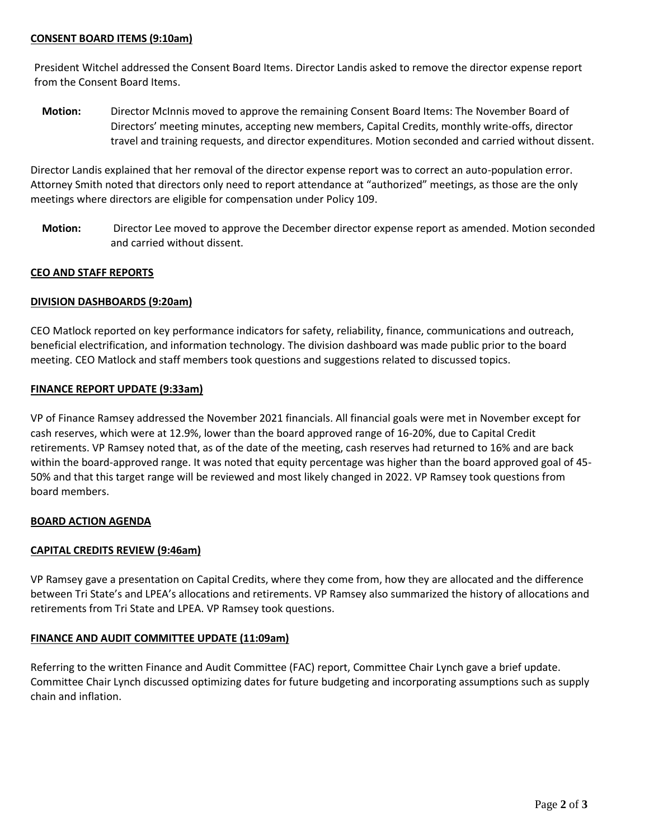# **CONSENT BOARD ITEMS (9:10am)**

President Witchel addressed the Consent Board Items. Director Landis asked to remove the director expense report from the Consent Board Items.

**Motion:** Director McInnis moved to approve the remaining Consent Board Items: The November Board of Directors' meeting minutes, accepting new members, Capital Credits, monthly write-offs, director travel and training requests, and director expenditures. Motion seconded and carried without dissent.

Director Landis explained that her removal of the director expense report was to correct an auto-population error. Attorney Smith noted that directors only need to report attendance at "authorized" meetings, as those are the only meetings where directors are eligible for compensation under Policy 109.

**Motion:** Director Lee moved to approve the December director expense report as amended. Motion seconded and carried without dissent.

# **CEO AND STAFF REPORTS**

# **DIVISION DASHBOARDS (9:20am)**

CEO Matlock reported on key performance indicators for safety, reliability, finance, communications and outreach, beneficial electrification, and information technology. The division dashboard was made public prior to the board meeting. CEO Matlock and staff members took questions and suggestions related to discussed topics.

# **FINANCE REPORT UPDATE (9:33am)**

VP of Finance Ramsey addressed the November 2021 financials. All financial goals were met in November except for cash reserves, which were at 12.9%, lower than the board approved range of 16-20%, due to Capital Credit retirements. VP Ramsey noted that, as of the date of the meeting, cash reserves had returned to 16% and are back within the board-approved range. It was noted that equity percentage was higher than the board approved goal of 45- 50% and that this target range will be reviewed and most likely changed in 2022. VP Ramsey took questions from board members.

# **BOARD ACTION AGENDA**

# **CAPITAL CREDITS REVIEW (9:46am)**

VP Ramsey gave a presentation on Capital Credits, where they come from, how they are allocated and the difference between Tri State's and LPEA's allocations and retirements. VP Ramsey also summarized the history of allocations and retirements from Tri State and LPEA. VP Ramsey took questions.

# **FINANCE AND AUDIT COMMITTEE UPDATE (11:09am)**

Referring to the written Finance and Audit Committee (FAC) report, Committee Chair Lynch gave a brief update. Committee Chair Lynch discussed optimizing dates for future budgeting and incorporating assumptions such as supply chain and inflation.